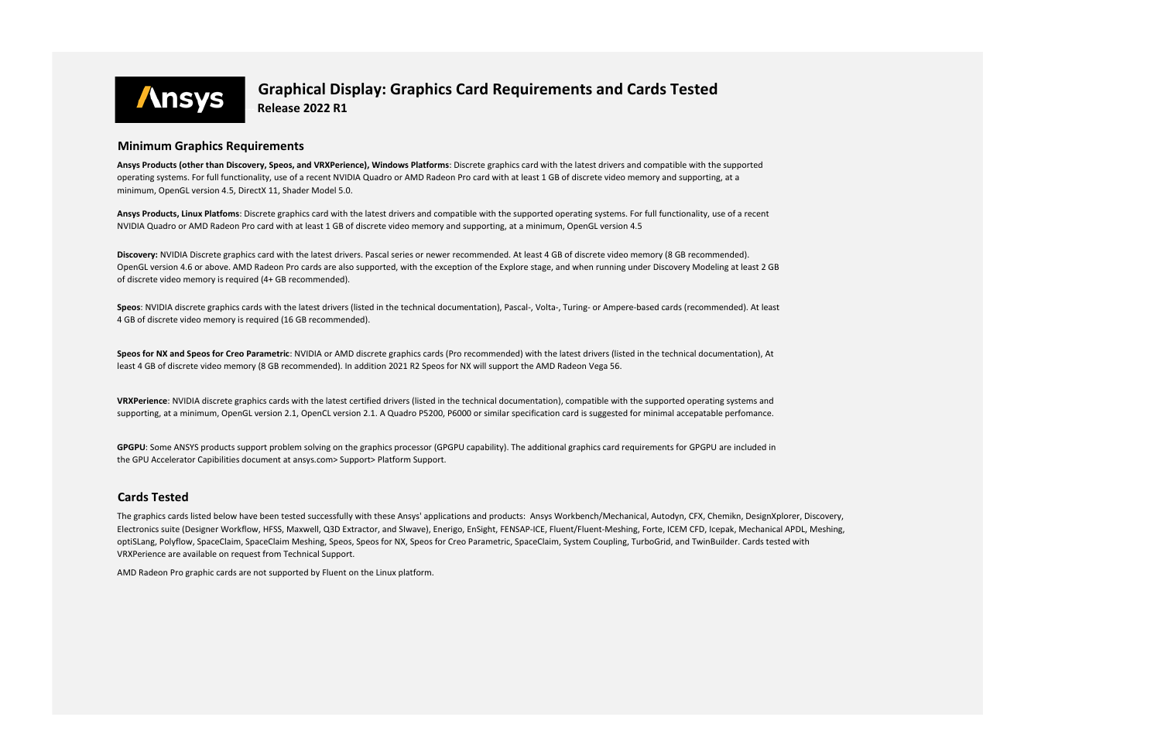

 **Graphical Display: Graphics Card Requirements and Cards Tested ----- Release 2022 R1**

**Ansys Products, Linux Platfoms**: Discrete graphics card with the latest drivers and compatible with the supported operating systems. For full functionality, use of a recent NVIDIA Quadro or AMD Radeon Pro card with at least 1 GB of discrete video memory and supporting, at a minimum, OpenGL version 4.5

## **Minimum Graphics Requirements**

**GPGPU**: Some ANSYS products support problem solving on the graphics processor (GPGPU capability). The additional graphics card requirements for GPGPU are included in the GPU Accelerator Capibilities document at ansys.com> Support> Platform Support.

**Ansys Products (other than Discovery, Speos, and VRXPerience), Windows Platforms**: Discrete graphics card with the latest drivers and compatible with the supported operating systems. For full functionality, use of a recent NVIDIA Quadro or AMD Radeon Pro card with at least 1 GB of discrete video memory and supporting, at a minimum, OpenGL version 4.5, DirectX 11, Shader Model 5.0.

**Discovery:** NVIDIA Discrete graphics card with the latest drivers. Pascal series or newer recommended. At least 4 GB of discrete video memory (8 GB recommended). OpenGL version 4.6 or above. AMD Radeon Pro cards are also supported, with the exception of the Explore stage, and when running under Discovery Modeling at least 2 GB of discrete video memory is required (4+ GB recommended).

## **Cards Tested**

The graphics cards listed below have been tested successfully with these Ansys' applications and products: Ansys Workbench/Mechanical, Autodyn, CFX, Chemikn, DesignXplorer, Discovery, Electronics suite (Designer Workflow, HFSS, Maxwell, Q3D Extractor, and SIwave), Enerigo, EnSight, FENSAP-ICE, Fluent/Fluent-Meshing, Forte, ICEM CFD, Icepak, Mechanical APDL, Meshing, optiSLang, Polyflow, SpaceClaim, SpaceClaim Meshing, Speos, Speos for NX, Speos for Creo Parametric, SpaceClaim, System Coupling, TurboGrid, and TwinBuilder. Cards tested with VRXPerience are available on request from Technical Support.

**Speos**: NVIDIA discrete graphics cards with the latest drivers (listed in the technical documentation), Pascal-, Volta-, Turing- or Ampere-based cards (recommended). At least 4 GB of discrete video memory is required (16 GB recommended).

**Speos for NX and Speos for Creo Parametric**: NVIDIA or AMD discrete graphics cards (Pro recommended) with the latest drivers (listed in the technical documentation), At least 4 GB of discrete video memory (8 GB recommended). In addition 2021 R2 Speos for NX will support the AMD Radeon Vega 56.

**VRXPerience**: NVIDIA discrete graphics cards with the latest certified drivers (listed in the technical documentation), compatible with the supported operating systems and supporting, at a minimum, OpenGL version 2.1, OpenCL version 2.1. A Quadro P5200, P6000 or similar specification card is suggested for minimal accepatable perfomance.

AMD Radeon Pro graphic cards are not supported by Fluent on the Linux platform.

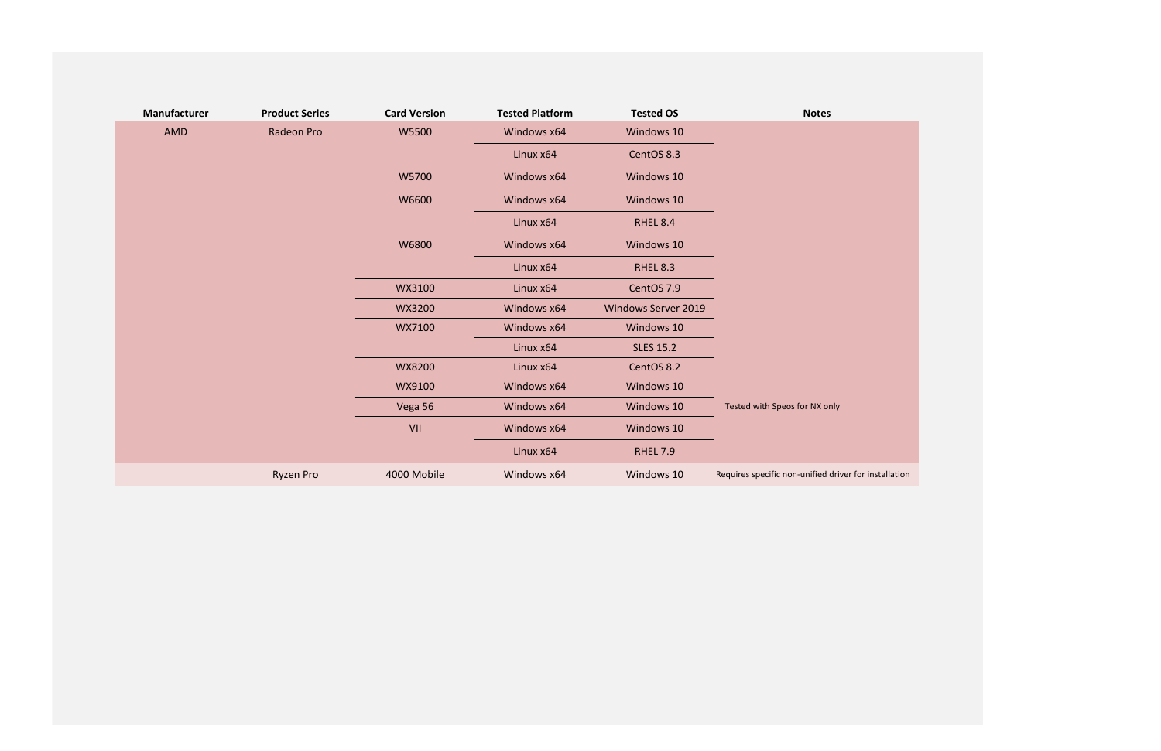| Manufacturer | <b>Product Series</b> | <b>Card Version</b> | <b>Tested Platform</b> | <b>Tested OS</b>           | <b>Notes</b>                                          |
|--------------|-----------------------|---------------------|------------------------|----------------------------|-------------------------------------------------------|
| AMD          | Radeon Pro            | W5500               | Windows x64            | Windows 10                 |                                                       |
|              |                       |                     | Linux x64              | CentOS 8.3                 |                                                       |
|              |                       | W5700               | Windows x64            | Windows 10                 |                                                       |
|              |                       | W6600               | Windows x64            | Windows 10                 |                                                       |
|              |                       |                     | Linux x64              | <b>RHEL 8.4</b>            |                                                       |
|              |                       | W6800               | Windows x64            | Windows 10                 |                                                       |
|              |                       |                     | Linux x64              | <b>RHEL 8.3</b>            |                                                       |
|              |                       | WX3100              | Linux x64              | CentOS 7.9                 |                                                       |
|              |                       | WX3200              | Windows x64            | <b>Windows Server 2019</b> |                                                       |
|              |                       | WX7100              | Windows x64            | Windows 10                 |                                                       |
|              |                       |                     | Linux x64              | <b>SLES 15.2</b>           |                                                       |
|              |                       | WX8200              | Linux x64              | CentOS 8.2                 |                                                       |
|              |                       | WX9100              | Windows x64            | Windows 10                 |                                                       |
|              |                       | Vega 56             | Windows x64            | Windows 10                 | Tested with Speos for NX only                         |
|              |                       | VII                 | Windows x64            | Windows 10                 |                                                       |
|              |                       |                     | Linux x64              | <b>RHEL 7.9</b>            |                                                       |
|              | <b>Ryzen Pro</b>      | 4000 Mobile         | Windows x64            | Windows 10                 | Requires specific non-unified driver for installation |

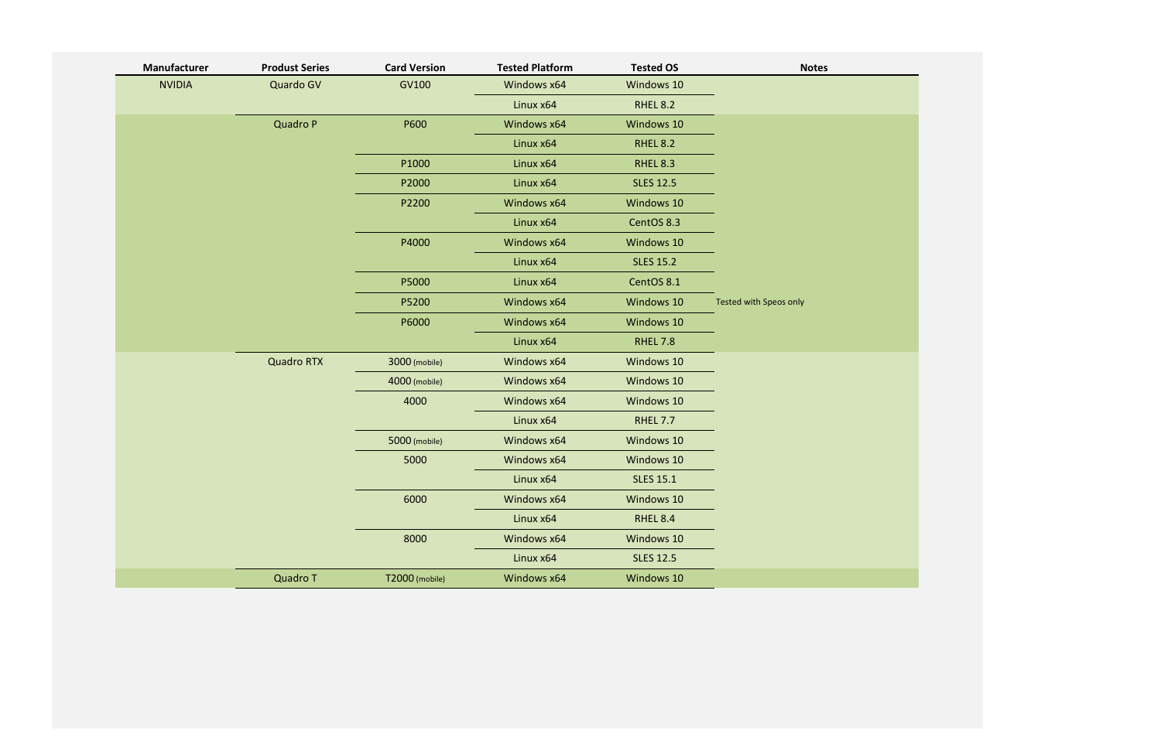| <b>NVIDIA</b><br>Quardo GV<br>GV100<br>Windows 10<br>Windows x64<br>Linux x64<br><b>RHEL 8.2</b><br><b>Quadro P</b><br>P600<br>Windows x64<br>Windows 10<br>Linux x64<br><b>RHEL 8.2</b><br>P1000<br>Linux x64<br><b>RHEL 8.3</b><br>Linux x64<br>P2000<br><b>SLES 12.5</b><br>Windows x64<br>Windows 10<br>P2200<br>Linux x64<br>CentOS 8.3<br>P4000<br>Windows x64<br>Windows 10<br>Linux x64<br><b>SLES 15.2</b><br>P5000<br>Linux x64<br>CentOS 8.1<br>Windows x64<br>Windows 10<br>P5200<br>Tested with Speos only<br>P6000<br>Windows x64<br>Windows 10<br>Linux x64<br><b>RHEL 7.8</b><br><b>Quadro RTX</b><br>Windows x64<br>Windows 10<br>3000 (mobile)<br>Windows x64<br>Windows 10<br>4000 (mobile)<br>4000<br>Windows x64<br>Windows 10<br>Linux x64<br><b>RHEL 7.7</b><br>5000 (mobile)<br>Windows x64<br>Windows 10<br>5000<br>Windows 10<br>Windows x64<br>Linux x64<br><b>SLES 15.1</b><br>6000<br>Windows 10<br>Windows x64<br>Linux x64<br><b>RHEL 8.4</b><br>8000<br>Windows x64<br>Windows 10<br>Linux x64<br><b>SLES 12.5</b> | Manufacturer | <b>Produst Series</b> | <b>Card Version</b> | <b>Tested Platform</b> | <b>Tested OS</b> | <b>Notes</b> |
|----------------------------------------------------------------------------------------------------------------------------------------------------------------------------------------------------------------------------------------------------------------------------------------------------------------------------------------------------------------------------------------------------------------------------------------------------------------------------------------------------------------------------------------------------------------------------------------------------------------------------------------------------------------------------------------------------------------------------------------------------------------------------------------------------------------------------------------------------------------------------------------------------------------------------------------------------------------------------------------------------------------------------------------------------|--------------|-----------------------|---------------------|------------------------|------------------|--------------|
|                                                                                                                                                                                                                                                                                                                                                                                                                                                                                                                                                                                                                                                                                                                                                                                                                                                                                                                                                                                                                                                    |              |                       |                     |                        |                  |              |
|                                                                                                                                                                                                                                                                                                                                                                                                                                                                                                                                                                                                                                                                                                                                                                                                                                                                                                                                                                                                                                                    |              |                       |                     |                        |                  |              |
|                                                                                                                                                                                                                                                                                                                                                                                                                                                                                                                                                                                                                                                                                                                                                                                                                                                                                                                                                                                                                                                    |              |                       |                     |                        |                  |              |
|                                                                                                                                                                                                                                                                                                                                                                                                                                                                                                                                                                                                                                                                                                                                                                                                                                                                                                                                                                                                                                                    |              |                       |                     |                        |                  |              |
|                                                                                                                                                                                                                                                                                                                                                                                                                                                                                                                                                                                                                                                                                                                                                                                                                                                                                                                                                                                                                                                    |              |                       |                     |                        |                  |              |
|                                                                                                                                                                                                                                                                                                                                                                                                                                                                                                                                                                                                                                                                                                                                                                                                                                                                                                                                                                                                                                                    |              |                       |                     |                        |                  |              |
|                                                                                                                                                                                                                                                                                                                                                                                                                                                                                                                                                                                                                                                                                                                                                                                                                                                                                                                                                                                                                                                    |              |                       |                     |                        |                  |              |
|                                                                                                                                                                                                                                                                                                                                                                                                                                                                                                                                                                                                                                                                                                                                                                                                                                                                                                                                                                                                                                                    |              |                       |                     |                        |                  |              |
|                                                                                                                                                                                                                                                                                                                                                                                                                                                                                                                                                                                                                                                                                                                                                                                                                                                                                                                                                                                                                                                    |              |                       |                     |                        |                  |              |
|                                                                                                                                                                                                                                                                                                                                                                                                                                                                                                                                                                                                                                                                                                                                                                                                                                                                                                                                                                                                                                                    |              |                       |                     |                        |                  |              |
|                                                                                                                                                                                                                                                                                                                                                                                                                                                                                                                                                                                                                                                                                                                                                                                                                                                                                                                                                                                                                                                    |              |                       |                     |                        |                  |              |
|                                                                                                                                                                                                                                                                                                                                                                                                                                                                                                                                                                                                                                                                                                                                                                                                                                                                                                                                                                                                                                                    |              |                       |                     |                        |                  |              |
|                                                                                                                                                                                                                                                                                                                                                                                                                                                                                                                                                                                                                                                                                                                                                                                                                                                                                                                                                                                                                                                    |              |                       |                     |                        |                  |              |
|                                                                                                                                                                                                                                                                                                                                                                                                                                                                                                                                                                                                                                                                                                                                                                                                                                                                                                                                                                                                                                                    |              |                       |                     |                        |                  |              |
|                                                                                                                                                                                                                                                                                                                                                                                                                                                                                                                                                                                                                                                                                                                                                                                                                                                                                                                                                                                                                                                    |              |                       |                     |                        |                  |              |
|                                                                                                                                                                                                                                                                                                                                                                                                                                                                                                                                                                                                                                                                                                                                                                                                                                                                                                                                                                                                                                                    |              |                       |                     |                        |                  |              |
|                                                                                                                                                                                                                                                                                                                                                                                                                                                                                                                                                                                                                                                                                                                                                                                                                                                                                                                                                                                                                                                    |              |                       |                     |                        |                  |              |
|                                                                                                                                                                                                                                                                                                                                                                                                                                                                                                                                                                                                                                                                                                                                                                                                                                                                                                                                                                                                                                                    |              |                       |                     |                        |                  |              |
|                                                                                                                                                                                                                                                                                                                                                                                                                                                                                                                                                                                                                                                                                                                                                                                                                                                                                                                                                                                                                                                    |              |                       |                     |                        |                  |              |
|                                                                                                                                                                                                                                                                                                                                                                                                                                                                                                                                                                                                                                                                                                                                                                                                                                                                                                                                                                                                                                                    |              |                       |                     |                        |                  |              |
|                                                                                                                                                                                                                                                                                                                                                                                                                                                                                                                                                                                                                                                                                                                                                                                                                                                                                                                                                                                                                                                    |              |                       |                     |                        |                  |              |
|                                                                                                                                                                                                                                                                                                                                                                                                                                                                                                                                                                                                                                                                                                                                                                                                                                                                                                                                                                                                                                                    |              |                       |                     |                        |                  |              |
|                                                                                                                                                                                                                                                                                                                                                                                                                                                                                                                                                                                                                                                                                                                                                                                                                                                                                                                                                                                                                                                    |              |                       |                     |                        |                  |              |
|                                                                                                                                                                                                                                                                                                                                                                                                                                                                                                                                                                                                                                                                                                                                                                                                                                                                                                                                                                                                                                                    |              |                       |                     |                        |                  |              |
|                                                                                                                                                                                                                                                                                                                                                                                                                                                                                                                                                                                                                                                                                                                                                                                                                                                                                                                                                                                                                                                    |              |                       |                     |                        |                  |              |
|                                                                                                                                                                                                                                                                                                                                                                                                                                                                                                                                                                                                                                                                                                                                                                                                                                                                                                                                                                                                                                                    |              | Quadro T              | T2000 (mobile)      | Windows x64            | Windows 10       |              |